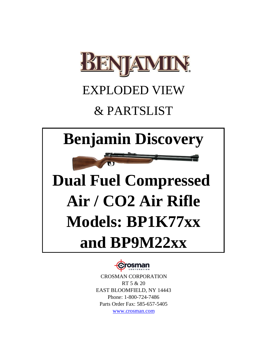

### EXPLODED VIEW

## & PARTSLIST

## **Benjamin Discovery**

# **Dual Fuel Compressed Air / CO2 Air Rifle Models: BP1K77xx and BP9M22xx**



www.crosman.com RT 5 & 20 EAST BLOOMFIELD, NY 14443 Phone: 1-800-724-7486 Parts Order Fax: 585-657-5405 CROSMAN CORPORATION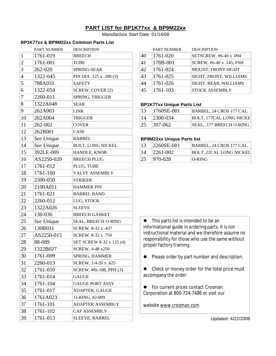#### **PART LIST for BP1K77xx & BP9M22xx**

Manufacture Start Date: 01/14/08

#### **BP1K77xx & BP9M22xx Common Parts List**

|                | <b>PART NUMBER</b> | <b>DESCRIPTION</b>       |                                               | <b>PART NUMBER</b>                | <b>DESCRIPTION</b>                                                             |
|----------------|--------------------|--------------------------|-----------------------------------------------|-----------------------------------|--------------------------------------------------------------------------------|
| $\mathbf{1}$   | 1761-019           | <b>BREECH</b>            | 40                                            | 1761-020                          | SETSCREW, #6-40 x .094                                                         |
| $\overline{2}$ | 1761-001           | TUBE                     | 41                                            | 178B-001                          | SCREW, #6-40 x .145, FSH                                                       |
| $\overline{3}$ | 262-020            | SPRING-SEAR              | 42                                            | 1761-024                          | MOUNT, FRONT SIGHT                                                             |
| $\vert 4$      | 1322-045           | PIN DIA .125 x .390 (3)  | 43                                            | 1761-025                          | SIGHT, FRONT, WILLIAMS                                                         |
| 5              | 788A031            | <b>SAFETY</b>            | 44                                            | 1761-026                          | SIGHT, REAR, WILLIAMS                                                          |
| 6              | 1322-054           | SCREW, COVER (2)         | 45                                            | 1761-103                          | <b>STOCK ASSEMBLY</b>                                                          |
| 7              | 2260-011           | SPRING, TRIGGER          |                                               |                                   |                                                                                |
| $\bf{8}$       | 1322A048           | <b>SEAR</b>              |                                               | <b>BP1K77xx Unique Parts List</b> |                                                                                |
| 9              | 262A003            | <b>LINK</b>              | 13                                            | 1760SE-001                        | BARREL, 24 CROS 177 CAL.                                                       |
| 10             | 262A004            | TRIGGER                  | 14                                            | 2300-034                          | <b>BOLT, 177CAL LONG NICKE</b>                                                 |
| 11             | 262-002            | <b>COVER</b>             | 25                                            | 397-062                           | SEAL, .177 BREECH O-RING                                                       |
| 12             | 262B001            | CASE                     |                                               |                                   |                                                                                |
| 13             | See Unique         | <b>BARREL</b>            |                                               | <b>BP9M22xx Unique Parts list</b> |                                                                                |
| 14             | See Unique         | <b>BOLT, LONG NICKEL</b> | 13                                            | 2260SE-001                        | BARREL, 24 CROS 177 CAL.                                                       |
| 15             | 392LE-009          | HANDLE, KNOB             | 14                                            | 2261-002                          | <b>BOLT .22CAL LONG NICKEL</b>                                                 |
| 16             | AS2250-020         | <b>BREECH PLUG</b>       | 25                                            | 970-028                           | <b>O-RING</b>                                                                  |
| 17             | 1761-012           | PLUG, TUBE               |                                               |                                   |                                                                                |
| 18             | 1761-100           | <b>VALVE ASSEMBLY</b>    |                                               |                                   |                                                                                |
| 19             | 2300-050           | <b>STRIKER</b>           |                                               |                                   |                                                                                |
| 20             | 2100A011           | <b>HAMMER PIN</b>        |                                               |                                   |                                                                                |
| 21             | 1761-021           | <b>BARREL BAND</b>       |                                               |                                   |                                                                                |
| 22             | 2260-012           | LUG, STOCK               |                                               |                                   |                                                                                |
| 23             | 1322A026           | <b>SLEEVE</b>            |                                               |                                   |                                                                                |
| 24             | 130-036            | <b>BREECH GASKET</b>     |                                               |                                   |                                                                                |
| 25             | See Unique         | SEAL, BREECH O-RING      |                                               |                                   | This parts list is intended to be an                                           |
| 26             | 130B031            | SCREW, 8-32 x .437       |                                               |                                   | informational guide in ordering parts. It is not                               |
| 27             | AS2250-015         | SCREW, 8-32 x .750       |                                               |                                   | instructional material and we therefore assume no                              |
| 28             | 88-089             | SET SCREW 8-32 x 125 (4) |                                               | proper factory training.          | responsibility for those who use the same without                              |
| 29             | 1322B027           | SCREW, 4-48 x250         |                                               |                                   |                                                                                |
| 30             | 1761-009           | <b>SPRING, HAMMER</b>    |                                               |                                   | Please order by part number and description.                                   |
| 31             | 2260-013           | SCREW, 1/4-20 x .625     |                                               |                                   |                                                                                |
| 32             | 1761-010           | SCREW, #8x.188, PPH (3)  | Check or money order for the total price must |                                   |                                                                                |
| 33             | 1761-014           | <b>GAUGE</b>             |                                               | accompany the order.              |                                                                                |
| 34             | 1761-104           | <b>GAUGE PORT ASSY</b>   |                                               |                                   |                                                                                |
| 35             | 1761-017           | ADAPTER, GAUGE           |                                               |                                   | For current prices contact Crosman<br>Corporation at 800-724-7486 or visit our |
| 36             | 1761A023           | O-RING, #2-009           |                                               |                                   |                                                                                |
| 37             | 1761-101           | ADAPTER ASSEMBLY         |                                               | website www.crosman.com           |                                                                                |
| 38             | 1761-102           | CAP ASSEMBLY             |                                               |                                   |                                                                                |
| 39             | 1761-013           | SLEEVE, BARREL           |                                               |                                   | Updated: 4/22/2009                                                             |
|                |                    |                          |                                               |                                   |                                                                                |

|    | <b>PART NUMBER</b> | <b>DESCRIPTION</b>       |
|----|--------------------|--------------------------|
| 40 | 1761-020           | SETSCREW, #6-40 x .094   |
| 41 | 178B-001           | SCREW, #6-40 x .145, FSH |
| 42 | 1761-024           | MOUNT, FRONT SIGHT       |
| 43 | 1761-025           | SIGHT, FRONT, WILLIAMS   |
| 44 | 1761-026           | SIGHT, REAR, WILLIAMS    |
| 45 | 1761-103           | <b>STOCK ASSEMBLY</b>    |

#### **BP1K77xx Unique Parts List**

| 13 | $ 1760$ SE-001 | BARREL, 24 CROS 177 CAL. |
|----|----------------|--------------------------|
| 14 | 12300-034      | BOLT, 177CAL LONG NICKE  |
| 25 | 397-062        | SEAL, .177 BREECH O-RING |

#### **BP9M22xx Unique Parts list**

| 13        | 2260SE-001   | BARREL, 24 CROS 177 CAL. |
|-----------|--------------|--------------------------|
| 14        | $ 2261-002 $ | BOLT .22CAL LONG NICKEL  |
| <u>25</u> | $ 970-028 $  | O-RING                   |

- **•** Please order by part number and description.
- Check or money order for the total price must accompany the order.
- **•** For current prices contact Crosman Corporation at 800-724-7486 or visit our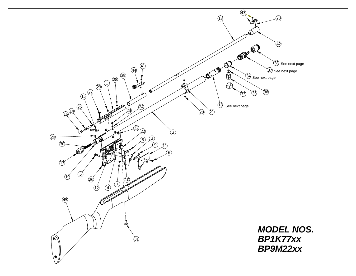